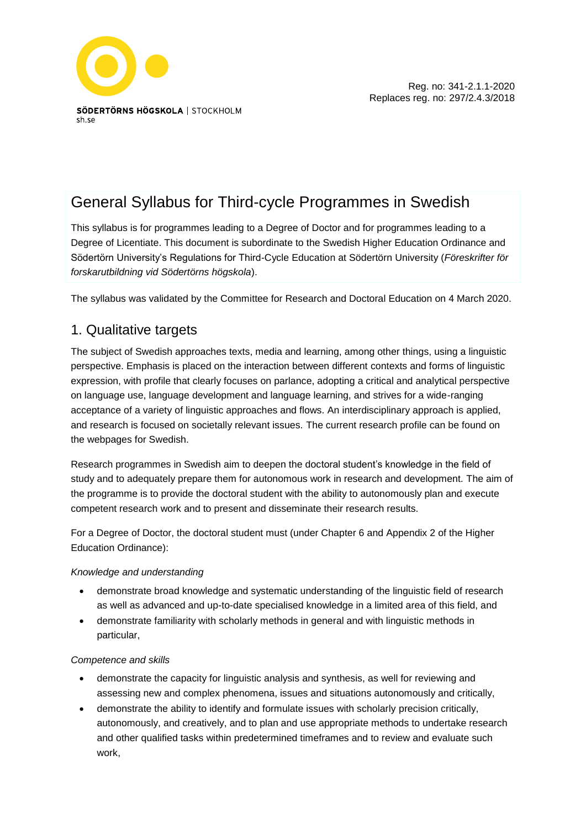

# General Syllabus for Third-cycle Programmes in Swedish

This syllabus is for programmes leading to a Degree of Doctor and for programmes leading to a Degree of Licentiate. This document is subordinate to the Swedish Higher Education Ordinance and Södertörn University's Regulations for Third-Cycle Education at Södertörn University (*Föreskrifter för forskarutbildning vid Södertörns högskola*).

The syllabus was validated by the Committee for Research and Doctoral Education on 4 March 2020.

# 1. Qualitative targets

The subject of Swedish approaches texts, media and learning, among other things, using a linguistic perspective. Emphasis is placed on the interaction between different contexts and forms of linguistic expression, with profile that clearly focuses on parlance, adopting a critical and analytical perspective on language use, language development and language learning, and strives for a wide-ranging acceptance of a variety of linguistic approaches and flows. An interdisciplinary approach is applied, and research is focused on societally relevant issues. The current research profile can be found on the webpages for Swedish.

Research programmes in Swedish aim to deepen the doctoral student's knowledge in the field of study and to adequately prepare them for autonomous work in research and development. The aim of the programme is to provide the doctoral student with the ability to autonomously plan and execute competent research work and to present and disseminate their research results.

For a Degree of Doctor, the doctoral student must (under Chapter 6 and Appendix 2 of the Higher Education Ordinance):

#### *Knowledge and understanding*

- demonstrate broad knowledge and systematic understanding of the linguistic field of research as well as advanced and up-to-date specialised knowledge in a limited area of this field, and
- demonstrate familiarity with scholarly methods in general and with linguistic methods in particular,

#### *Competence and skills*

- demonstrate the capacity for linguistic analysis and synthesis, as well for reviewing and assessing new and complex phenomena, issues and situations autonomously and critically,
- demonstrate the ability to identify and formulate issues with scholarly precision critically, autonomously, and creatively, and to plan and use appropriate methods to undertake research and other qualified tasks within predetermined timeframes and to review and evaluate such work,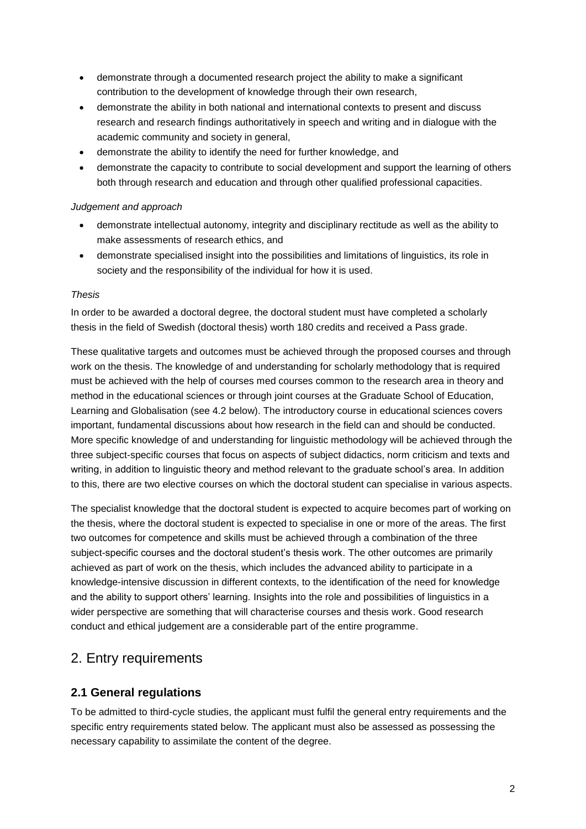- demonstrate through a documented research project the ability to make a significant contribution to the development of knowledge through their own research,
- demonstrate the ability in both national and international contexts to present and discuss research and research findings authoritatively in speech and writing and in dialogue with the academic community and society in general,
- demonstrate the ability to identify the need for further knowledge, and
- demonstrate the capacity to contribute to social development and support the learning of others both through research and education and through other qualified professional capacities.

#### *Judgement and approach*

- demonstrate intellectual autonomy, integrity and disciplinary rectitude as well as the ability to make assessments of research ethics, and
- demonstrate specialised insight into the possibilities and limitations of linguistics, its role in society and the responsibility of the individual for how it is used.

#### *Thesis*

In order to be awarded a doctoral degree, the doctoral student must have completed a scholarly thesis in the field of Swedish (doctoral thesis) worth 180 credits and received a Pass grade.

These qualitative targets and outcomes must be achieved through the proposed courses and through work on the thesis. The knowledge of and understanding for scholarly methodology that is required must be achieved with the help of courses med courses common to the research area in theory and method in the educational sciences or through joint courses at the Graduate School of Education, Learning and Globalisation (see 4.2 below). The introductory course in educational sciences covers important, fundamental discussions about how research in the field can and should be conducted. More specific knowledge of and understanding for linguistic methodology will be achieved through the three subject-specific courses that focus on aspects of subject didactics, norm criticism and texts and writing, in addition to linguistic theory and method relevant to the graduate school's area. In addition to this, there are two elective courses on which the doctoral student can specialise in various aspects.

The specialist knowledge that the doctoral student is expected to acquire becomes part of working on the thesis, where the doctoral student is expected to specialise in one or more of the areas. The first two outcomes for competence and skills must be achieved through a combination of the three subject-specific courses and the doctoral student's thesis work. The other outcomes are primarily achieved as part of work on the thesis, which includes the advanced ability to participate in a knowledge-intensive discussion in different contexts, to the identification of the need for knowledge and the ability to support others' learning. Insights into the role and possibilities of linguistics in a wider perspective are something that will characterise courses and thesis work. Good research conduct and ethical judgement are a considerable part of the entire programme.

# 2. Entry requirements

### **2.1 General regulations**

To be admitted to third-cycle studies, the applicant must fulfil the general entry requirements and the specific entry requirements stated below. The applicant must also be assessed as possessing the necessary capability to assimilate the content of the degree.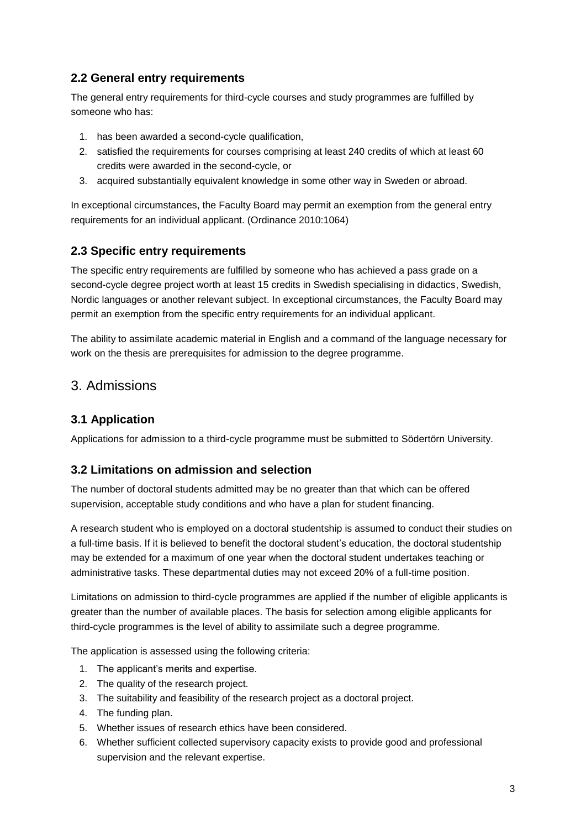### **2.2 General entry requirements**

The general entry requirements for third-cycle courses and study programmes are fulfilled by someone who has:

- 1. has been awarded a second-cycle qualification,
- 2. satisfied the requirements for courses comprising at least 240 credits of which at least 60 credits were awarded in the second-cycle, or
- 3. acquired substantially equivalent knowledge in some other way in Sweden or abroad.

In exceptional circumstances, the Faculty Board may permit an exemption from the general entry requirements for an individual applicant. (Ordinance 2010:1064)

### **2.3 Specific entry requirements**

The specific entry requirements are fulfilled by someone who has achieved a pass grade on a second-cycle degree project worth at least 15 credits in Swedish specialising in didactics, Swedish, Nordic languages or another relevant subject. In exceptional circumstances, the Faculty Board may permit an exemption from the specific entry requirements for an individual applicant.

The ability to assimilate academic material in English and a command of the language necessary for work on the thesis are prerequisites for admission to the degree programme.

# 3. Admissions

### **3.1 Application**

Applications for admission to a third-cycle programme must be submitted to Södertörn University.

### **3.2 Limitations on admission and selection**

The number of doctoral students admitted may be no greater than that which can be offered supervision, acceptable study conditions and who have a plan for student financing.

A research student who is employed on a doctoral studentship is assumed to conduct their studies on a full-time basis. If it is believed to benefit the doctoral student's education, the doctoral studentship may be extended for a maximum of one year when the doctoral student undertakes teaching or administrative tasks. These departmental duties may not exceed 20% of a full-time position.

Limitations on admission to third-cycle programmes are applied if the number of eligible applicants is greater than the number of available places. The basis for selection among eligible applicants for third-cycle programmes is the level of ability to assimilate such a degree programme.

The application is assessed using the following criteria:

- 1. The applicant's merits and expertise.
- 2. The quality of the research project.
- 3. The suitability and feasibility of the research project as a doctoral project.
- 4. The funding plan.
- 5. Whether issues of research ethics have been considered.
- 6. Whether sufficient collected supervisory capacity exists to provide good and professional supervision and the relevant expertise.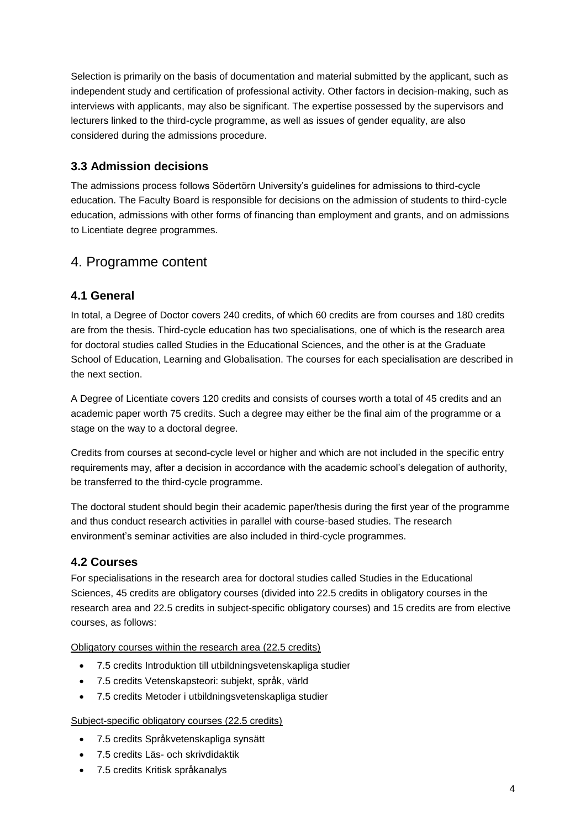Selection is primarily on the basis of documentation and material submitted by the applicant, such as independent study and certification of professional activity. Other factors in decision-making, such as interviews with applicants, may also be significant. The expertise possessed by the supervisors and lecturers linked to the third-cycle programme, as well as issues of gender equality, are also considered during the admissions procedure.

### **3.3 Admission decisions**

The admissions process follows Södertörn University's guidelines for admissions to third-cycle education. The Faculty Board is responsible for decisions on the admission of students to third-cycle education, admissions with other forms of financing than employment and grants, and on admissions to Licentiate degree programmes.

# 4. Programme content

### **4.1 General**

In total, a Degree of Doctor covers 240 credits, of which 60 credits are from courses and 180 credits are from the thesis. Third-cycle education has two specialisations, one of which is the research area for doctoral studies called Studies in the Educational Sciences, and the other is at the Graduate School of Education, Learning and Globalisation. The courses for each specialisation are described in the next section.

A Degree of Licentiate covers 120 credits and consists of courses worth a total of 45 credits and an academic paper worth 75 credits. Such a degree may either be the final aim of the programme or a stage on the way to a doctoral degree.

Credits from courses at second-cycle level or higher and which are not included in the specific entry requirements may, after a decision in accordance with the academic school's delegation of authority, be transferred to the third-cycle programme.

The doctoral student should begin their academic paper/thesis during the first year of the programme and thus conduct research activities in parallel with course-based studies. The research environment's seminar activities are also included in third-cycle programmes.

### **4.2 Courses**

For specialisations in the research area for doctoral studies called Studies in the Educational Sciences, 45 credits are obligatory courses (divided into 22.5 credits in obligatory courses in the research area and 22.5 credits in subject-specific obligatory courses) and 15 credits are from elective courses, as follows:

Obligatory courses within the research area (22.5 credits)

- 7.5 credits Introduktion till utbildningsvetenskapliga studier
- 7.5 credits Vetenskapsteori: subjekt, språk, värld
- 7.5 credits Metoder i utbildningsvetenskapliga studier

#### Subject-specific obligatory courses (22.5 credits)

- 7.5 credits Språkvetenskapliga synsätt
- 7.5 credits Läs- och skrivdidaktik
- 7.5 credits Kritisk språkanalys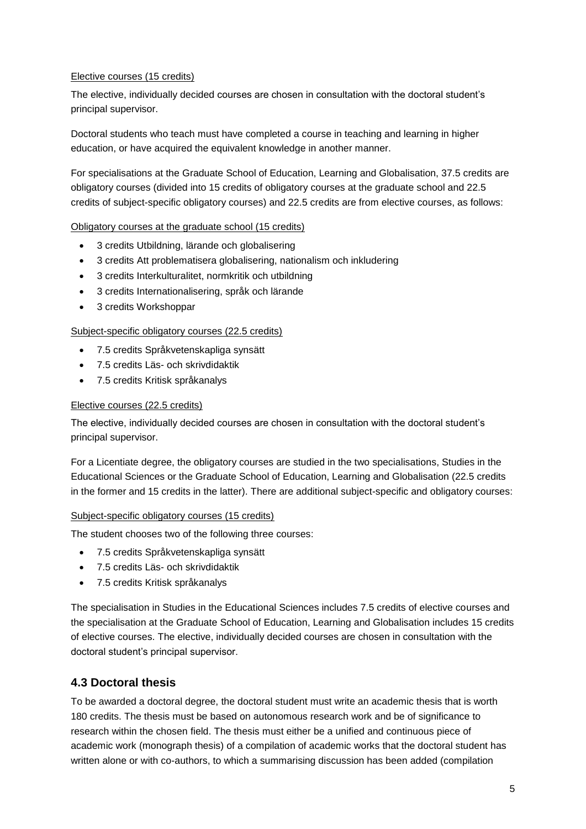#### Elective courses (15 credits)

The elective, individually decided courses are chosen in consultation with the doctoral student's principal supervisor.

Doctoral students who teach must have completed a course in teaching and learning in higher education, or have acquired the equivalent knowledge in another manner.

For specialisations at the Graduate School of Education, Learning and Globalisation, 37.5 credits are obligatory courses (divided into 15 credits of obligatory courses at the graduate school and 22.5 credits of subject-specific obligatory courses) and 22.5 credits are from elective courses, as follows:

#### Obligatory courses at the graduate school (15 credits)

- 3 credits Utbildning, lärande och globalisering
- 3 credits Att problematisera globalisering, nationalism och inkludering
- 3 credits Interkulturalitet, normkritik och utbildning
- 3 credits Internationalisering, språk och lärande
- 3 credits Workshoppar

#### Subject-specific obligatory courses (22.5 credits)

- 7.5 credits Språkvetenskapliga synsätt
- 7.5 credits Läs- och skrivdidaktik
- 7.5 credits Kritisk språkanalys

#### Elective courses (22.5 credits)

The elective, individually decided courses are chosen in consultation with the doctoral student's principal supervisor.

For a Licentiate degree, the obligatory courses are studied in the two specialisations, Studies in the Educational Sciences or the Graduate School of Education, Learning and Globalisation (22.5 credits in the former and 15 credits in the latter). There are additional subject-specific and obligatory courses:

#### Subject-specific obligatory courses (15 credits)

The student chooses two of the following three courses:

- 7.5 credits Språkvetenskapliga synsätt
- 7.5 credits Läs- och skrivdidaktik
- 7.5 credits Kritisk språkanalys

The specialisation in Studies in the Educational Sciences includes 7.5 credits of elective courses and the specialisation at the Graduate School of Education, Learning and Globalisation includes 15 credits of elective courses. The elective, individually decided courses are chosen in consultation with the doctoral student's principal supervisor.

#### **4.3 Doctoral thesis**

To be awarded a doctoral degree, the doctoral student must write an academic thesis that is worth 180 credits. The thesis must be based on autonomous research work and be of significance to research within the chosen field. The thesis must either be a unified and continuous piece of academic work (monograph thesis) of a compilation of academic works that the doctoral student has written alone or with co-authors, to which a summarising discussion has been added (compilation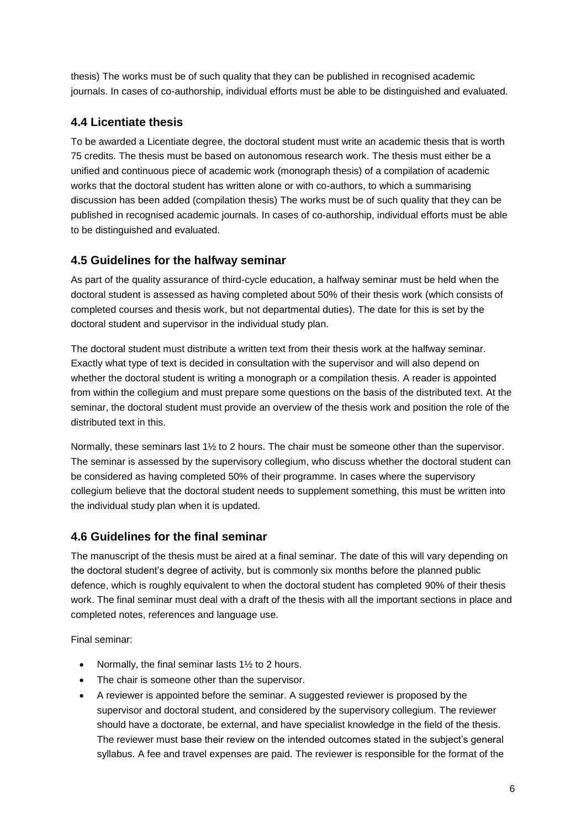thesis) The works must be of such quality that they can be published in recognised academic journals. In cases of co-authorship, individual efforts must be able to be distinguished and evaluated.

### **4.4 Licentiate thesis**

To be awarded a Licentiate degree, the doctoral student must write an academic thesis that is worth 75 credits. The thesis must be based on autonomous research work. The thesis must either be a unified and continuous piece of academic work (monograph thesis) of a compilation of academic works that the doctoral student has written alone or with co-authors, to which a summarising discussion has been added (compilation thesis) The works must be of such quality that they can be published in recognised academic journals. In cases of co-authorship, individual efforts must be able to be distinguished and evaluated.

### **4.5 Guidelines for the halfway seminar**

As part of the quality assurance of third-cycle education, a halfway seminar must be held when the doctoral student is assessed as having completed about 50% of their thesis work (which consists of completed courses and thesis work, but not departmental duties). The date for this is set by the doctoral student and supervisor in the individual study plan.

The doctoral student must distribute a written text from their thesis work at the halfway seminar. Exactly what type of text is decided in consultation with the supervisor and will also depend on whether the doctoral student is writing a monograph or a compilation thesis. A reader is appointed from within the collegium and must prepare some questions on the basis of the distributed text. At the seminar, the doctoral student must provide an overview of the thesis work and position the role of the distributed text in this.

Normally, these seminars last 1½ to 2 hours. The chair must be someone other than the supervisor. The seminar is assessed by the supervisory collegium, who discuss whether the doctoral student can be considered as having completed 50% of their programme. In cases where the supervisory collegium believe that the doctoral student needs to supplement something, this must be written into the individual study plan when it is updated.

### **4.6 Guidelines for the final seminar**

The manuscript of the thesis must be aired at a final seminar. The date of this will vary depending on the doctoral student's degree of activity, but is commonly six months before the planned public defence, which is roughly equivalent to when the doctoral student has completed 90% of their thesis work. The final seminar must deal with a draft of the thesis with all the important sections in place and completed notes, references and language use.

Final seminar:

- Normally, the final seminar lasts  $1\frac{1}{2}$  to 2 hours.
- The chair is someone other than the supervisor.
- A reviewer is appointed before the seminar. A suggested reviewer is proposed by the supervisor and doctoral student, and considered by the supervisory collegium. The reviewer should have a doctorate, be external, and have specialist knowledge in the field of the thesis. The reviewer must base their review on the intended outcomes stated in the subject's general syllabus. A fee and travel expenses are paid. The reviewer is responsible for the format of the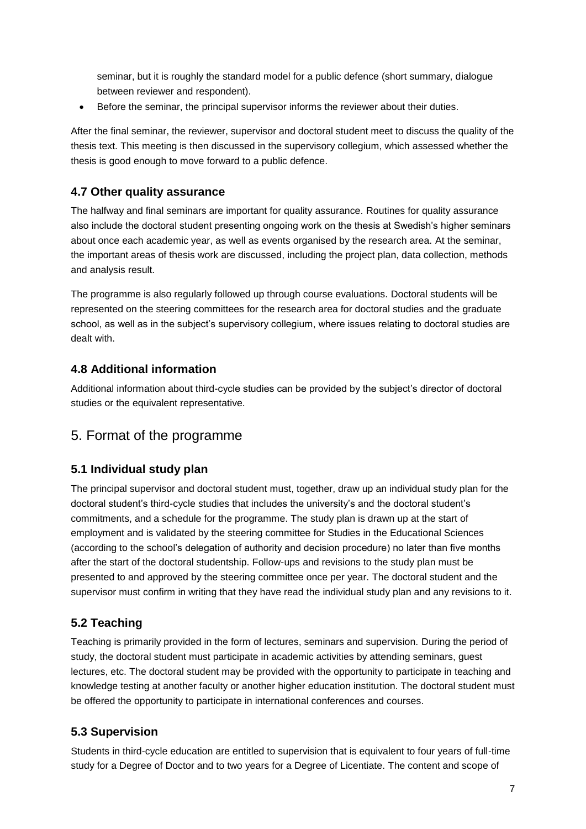seminar, but it is roughly the standard model for a public defence (short summary, dialogue between reviewer and respondent).

• Before the seminar, the principal supervisor informs the reviewer about their duties.

After the final seminar, the reviewer, supervisor and doctoral student meet to discuss the quality of the thesis text. This meeting is then discussed in the supervisory collegium, which assessed whether the thesis is good enough to move forward to a public defence.

### **4.7 Other quality assurance**

The halfway and final seminars are important for quality assurance. Routines for quality assurance also include the doctoral student presenting ongoing work on the thesis at Swedish's higher seminars about once each academic year, as well as events organised by the research area. At the seminar, the important areas of thesis work are discussed, including the project plan, data collection, methods and analysis result.

The programme is also regularly followed up through course evaluations. Doctoral students will be represented on the steering committees for the research area for doctoral studies and the graduate school, as well as in the subject's supervisory collegium, where issues relating to doctoral studies are dealt with.

### **4.8 Additional information**

Additional information about third-cycle studies can be provided by the subject's director of doctoral studies or the equivalent representative.

# 5. Format of the programme

### **5.1 Individual study plan**

The principal supervisor and doctoral student must, together, draw up an individual study plan for the doctoral student's third-cycle studies that includes the university's and the doctoral student's commitments, and a schedule for the programme. The study plan is drawn up at the start of employment and is validated by the steering committee for Studies in the Educational Sciences (according to the school's delegation of authority and decision procedure) no later than five months after the start of the doctoral studentship. Follow-ups and revisions to the study plan must be presented to and approved by the steering committee once per year. The doctoral student and the supervisor must confirm in writing that they have read the individual study plan and any revisions to it.

# **5.2 Teaching**

Teaching is primarily provided in the form of lectures, seminars and supervision. During the period of study, the doctoral student must participate in academic activities by attending seminars, guest lectures, etc. The doctoral student may be provided with the opportunity to participate in teaching and knowledge testing at another faculty or another higher education institution. The doctoral student must be offered the opportunity to participate in international conferences and courses.

# **5.3 Supervision**

Students in third-cycle education are entitled to supervision that is equivalent to four years of full-time study for a Degree of Doctor and to two years for a Degree of Licentiate. The content and scope of